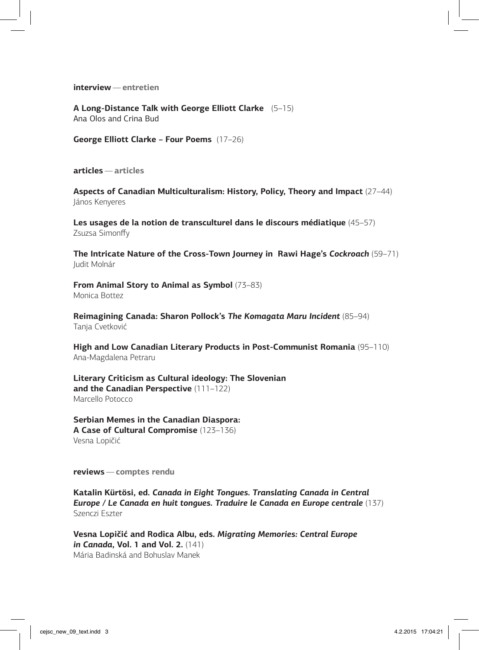**interview** — **entretien**

**A Long-Distance Talk with George Elliott Clarke** (5–15) Ana Olos and Crina Bud

**George Elliott Clarke – Four Poems** (17–26)

**articles** — **articles**

**Aspects of Canadian Multiculturalism: History, Policy, Theory and Impact** (27–44) János Kenyeres

**Les usages de la notion de transculturel dans le discours médiatique** (45–57) Zsuzsa Simonffy

**The Intricate Nature of the Cross-Town Journey in Rawi Hage's** *Cockroach* (59–71) Judit Molnár

**From Animal Story to Animal as Symbol** (73–83) Monica Bottez

**Reimagining Canada: Sharon Pollock's** *The Komagata Maru Incident* (85–94) Tanja Cvetković

**High and Low Canadian Literary Products in Post-Communist Romania** (95–110) Ana-Magdalena Petraru

**Literary Criticism as Cultural ideology: The Slovenian and the Canadian Perspective** (111–122) Marcello Potocco

**Serbian Memes in the Canadian Diaspora: A Case of Cultural Compromise** (123–136) Vesna Lopičić

**reviews** — **comptes rendu**

**Katalin Kürtösi, ed.** *Canada in Eight Tongues. Translating Canada in Central*  **Europe / Le Canada en huit tongues. Traduire le Canada en Europe centrale** (137) Szenczi Eszter

**Vesna Lopičić and Rodica Albu, eds.** *Migrating Memories: Central Europe in Canada***, Vol. 1 and Vol. 2.** (141) Mária Badinská and Bohuslav Manek